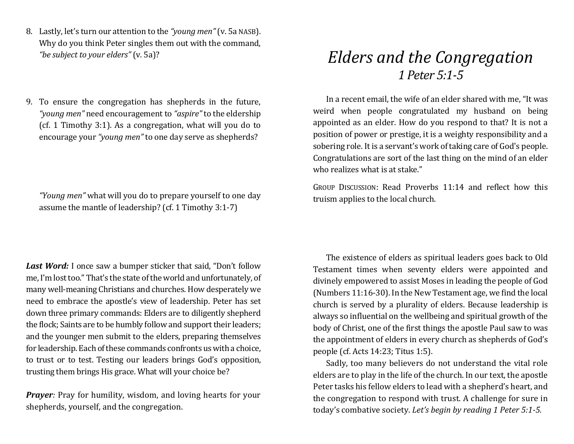- 8. Lastly, let's turn our attention to the *"young men"*(v. 5a NASB). Why do you think Peter singles them out with the command, *"be subject to your elders"* (v. 5a)?
- 9. To ensure the congregation has shepherds in the future, *"young men"* need encouragement to *"aspire"* to the eldership (cf. 1 Timothy 3:1). As a congregation, what will you do to encourage your *"young men"* to one day serve as shepherds?

*"Young men"* what will you do to prepare yourself to one day assume the mantle of leadership? (cf. 1 Timothy 3:1-7)

*Last Word:* I once saw a bumper sticker that said, "Don't follow me, I'm lost too." That's the state of the world and unfortunately, of many well-meaning Christians and churches. How desperately we need to embrace the apostle's view of leadership. Peter has set down three primary commands: Elders are to diligently shepherd the flock; Saints are to be humbly follow and support their leaders; and the younger men submit to the elders, preparing themselves for leadership. Each of these commands confronts us with a choice, to trust or to test. Testing our leaders brings God's opposition, trusting them brings His grace. What will your choice be?

*Prayer:* Pray for humility, wisdom, and loving hearts for your shepherds, yourself, and the congregation.

## *Elders and the Congregation 1 Peter 5:1-5*

In a recent email, the wife of an elder shared with me, "It was weird when people congratulated my husband on being appointed as an elder. How do you respond to that? It is not a position of power or prestige, it is a weighty responsibility and a sobering role. It is a servant's work of taking care of God's people. Congratulations are sort of the last thing on the mind of an elder who realizes what is at stake."

GROUP DISCUSSION: Read Proverbs 11:14 and reflect how this truism applies to the local church.

The existence of elders as spiritual leaders goes back to Old Testament times when seventy elders were appointed and divinely empowered to assist Moses in leading the people of God (Numbers 11:16-30). In the New Testament age, we find the local church is served by a plurality of elders. Because leadership is always so influential on the wellbeing and spiritual growth of the body of Christ, one of the first things the apostle Paul saw to was the appointment of elders in every church as shepherds of God's people (cf. Acts 14:23; Titus 1:5).

Sadly, too many believers do not understand the vital role elders are to play in the life of the church. In our text, the apostle Peter tasks his fellow elders to lead with a shepherd's heart, and the congregation to respond with trust. A challenge for sure in today's combative society. *Let's begin by reading 1 Peter 5:1-5.*